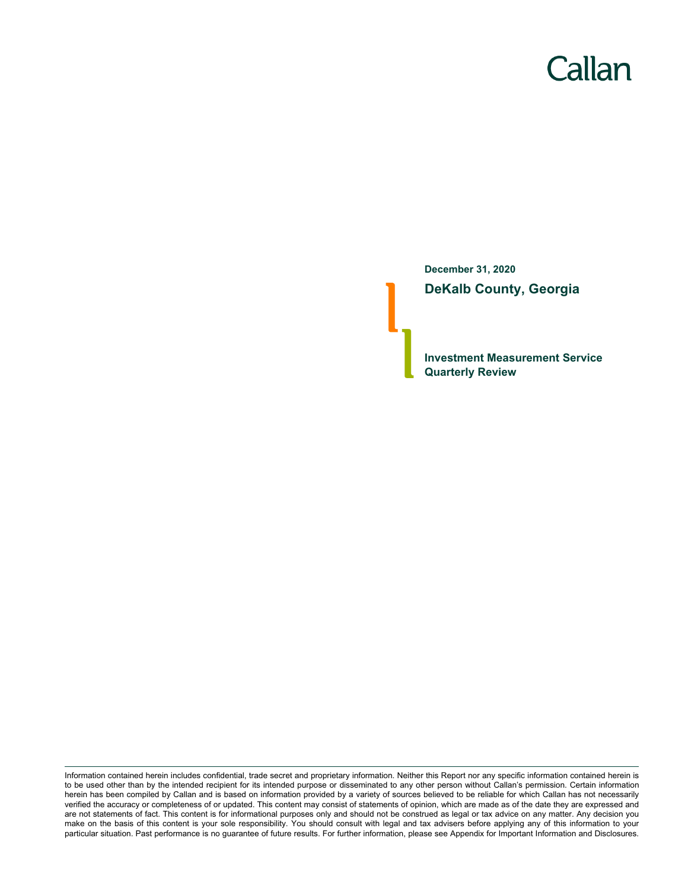# Callan

**December 31, 2020 DeKalb County, Georgia**

**Investment Measurement Service Quarterly Review**

Information contained herein includes confidential, trade secret and proprietary information. Neither this Report nor any specific information contained herein is to be used other than by the intended recipient for its intended purpose or disseminated to any other person without Callan's permission. Certain information herein has been compiled by Callan and is based on information provided by a variety of sources believed to be reliable for which Callan has not necessarily verified the accuracy or completeness of or updated. This content may consist of statements of opinion, which are made as of the date they are expressed and are not statements of fact. This content is for informational purposes only and should not be construed as legal or tax advice on any matter. Any decision you make on the basis of this content is your sole responsibility. You should consult with legal and tax advisers before applying any of this information to your particular situation. Past performance is no guarantee of future results. For further information, please see Appendix for Important Information and Disclosures.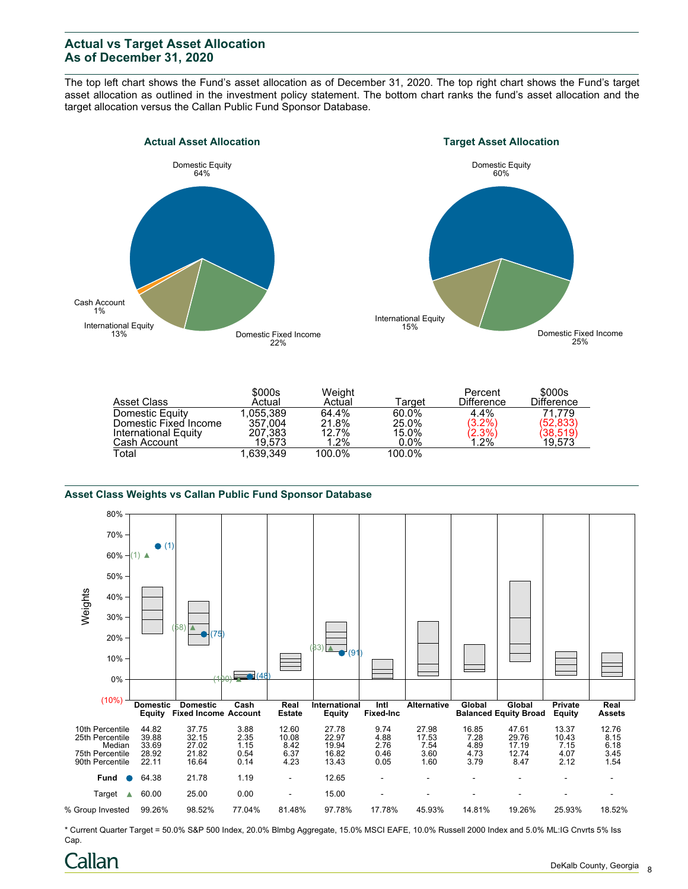## **Actual vs Target Asset Allocation As of December 31, 2020**

The top left chart shows the Fund's asset allocation as of December 31, 2020. The top right chart shows the Fund's target asset allocation as outlined in the investment policy statement. The bottom chart ranks the fund's asset allocation and the target allocation versus the Callan Public Fund Sponsor Database.





| Asset Class           | \$000s<br>Actual | Weight<br>Actual | Target  | Percent<br><b>Difference</b>    | \$000s<br><b>Difference</b> |
|-----------------------|------------------|------------------|---------|---------------------------------|-----------------------------|
| Domestic Equity       | 1.055.389        | 64.4%            | 60.0%   | $4.4\%$                         | 71.779                      |
| Domestic Fixed Income | 357.004          | 21.8%            | 25.0%   | $(3.2\%)$                       | (52, 833)                   |
| International Equity  | 207.383          | 12.7%            | 15.0%   | $\langle 2.3\% \rangle$<br>1.2% | (38,519)                    |
| Cash Account          | 19.573           | 1.2%             | $0.0\%$ |                                 | 19,573                      |
| Total                 | 1.639.349        | 100.0%           | 100.0%  |                                 |                             |

#### **Asset Class Weights vs Callan Public Fund Sponsor Database**



\* Current Quarter Target = 50.0% S&P 500 Index, 20.0% Blmbg Aggregate, 15.0% MSCI EAFE, 10.0% Russell 2000 Index and 5.0% ML:IG Cnvrts 5% Iss Cap.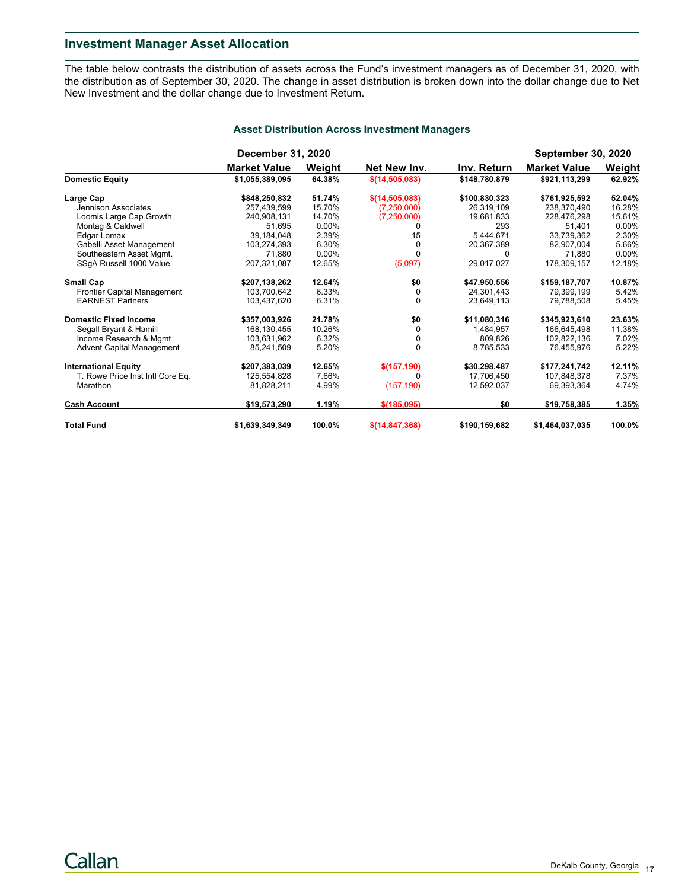## **Investment Manager Asset Allocation**

The table below contrasts the distribution of assets across the Fund's investment managers as of December 31, 2020, with the distribution as of September 30, 2020. The change in asset distribution is broken down into the dollar change due to Net New Investment and the dollar change due to Investment Return.

|                                  | <b>December 31, 2020</b> |        |                   |               | <b>September 30, 2020</b> |          |
|----------------------------------|--------------------------|--------|-------------------|---------------|---------------------------|----------|
|                                  | <b>Market Value</b>      | Weight | Net New Inv.      | Inv. Return   | <b>Market Value</b>       | Weight   |
| <b>Domestic Equity</b>           | \$1,055,389,095          | 64.38% | \$(14, 505, 083)  | \$148,780,879 | \$921,113,299             | 62.92%   |
| Large Cap                        | \$848,250,832            | 51.74% | \$(14,505,083)    | \$100,830,323 | \$761,925,592             | 52.04%   |
| Jennison Associates              | 257.439.599              | 15.70% | (7,250,000)       | 26.319.109    | 238.370.490               | 16.28%   |
| Loomis Large Cap Growth          | 240,908,131              | 14.70% | (7, 250, 000)     | 19,681,833    | 228,476,298               | 15.61%   |
| Montag & Caldwell                | 51.695                   | 0.00%  |                   | 293           | 51,401                    | $0.00\%$ |
| Edgar Lomax                      | 39,184,048               | 2.39%  | 15                | 5,444,671     | 33,739,362                | 2.30%    |
| Gabelli Asset Management         | 103,274,393              | 6.30%  | 0                 | 20,367,389    | 82,907,004                | 5.66%    |
| Southeastern Asset Mgmt.         | 71.880                   | 0.00%  |                   | 0             | 71.880                    | $0.00\%$ |
| SSgA Russell 1000 Value          | 207,321,087              | 12.65% | (5,097)           | 29,017,027    | 178,309,157               | 12.18%   |
| <b>Small Cap</b>                 | \$207,138,262            | 12.64% | \$0               | \$47,950,556  | \$159,187,707             | 10.87%   |
| Frontier Capital Management      | 103.700.642              | 6.33%  | 0                 | 24.301.443    | 79.399.199                | 5.42%    |
| <b>EARNEST Partners</b>          | 103,437,620              | 6.31%  | $\Omega$          | 23,649,113    | 79,788,508                | 5.45%    |
| <b>Domestic Fixed Income</b>     | \$357,003,926            | 21.78% | \$0               | \$11,080,316  | \$345,923,610             | 23.63%   |
| Segall Bryant & Hamill           | 168.130.455              | 10.26% | 0                 | 1,484,957     | 166.645.498               | 11.38%   |
| Income Research & Mgmt           | 103,631,962              | 6.32%  | 0                 | 809.826       | 102,822,136               | 7.02%    |
| <b>Advent Capital Management</b> | 85,241,509               | 5.20%  | $\Omega$          | 8,785,533     | 76,455,976                | 5.22%    |
| <b>International Equity</b>      | \$207,383,039            | 12.65% | \$(157, 190)      | \$30,298,487  | \$177,241,742             | 12.11%   |
| T. Rowe Price Inst Intl Core Eq. | 125,554,828              | 7.66%  | U                 | 17,706,450    | 107,848,378               | 7.37%    |
| Marathon                         | 81,828,211               | 4.99%  | (157, 190)        | 12,592,037    | 69,393,364                | 4.74%    |
| <b>Cash Account</b>              | \$19,573,290             | 1.19%  | \$(185,095)       | \$0           | \$19,758,385              | 1.35%    |
| <b>Total Fund</b>                | \$1,639,349,349          | 100.0% | \$ (14, 847, 368) | \$190,159,682 | \$1,464,037,035           | 100.0%   |

#### **Asset Distribution Across Investment Managers**

Callan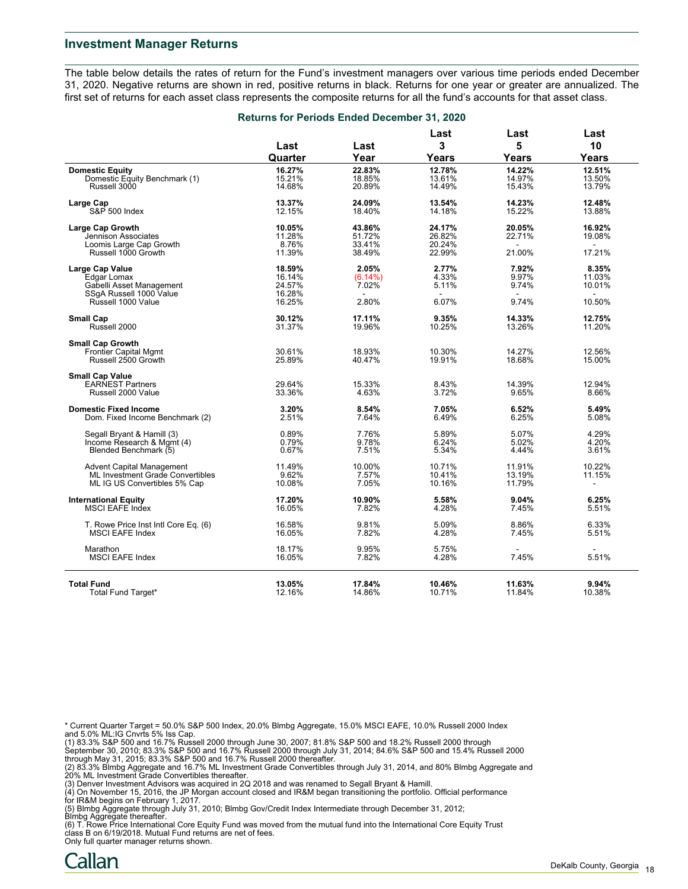#### **Investment Manager Returns**

The table below details the rates of return for the Fund's investment managers over various time periods ended December 31, 2020. Negative returns are shown in red, positive returns in black. Returns for one year or greater are annualized. The first set of returns for each asset class represents the composite returns for all the fund's accounts for that asset class.

|                                      | Returns for Periods Ended December 31, 2020 |            |           |           |                          |
|--------------------------------------|---------------------------------------------|------------|-----------|-----------|--------------------------|
|                                      | Last                                        | Last       | Last<br>3 | Last<br>5 | Last<br>10               |
|                                      | Quarter                                     | Year       | Years     | Years     | Years                    |
| <b>Domestic Equity</b>               | 16.27%                                      | 22.83%     | 12.78%    | 14.22%    | 12.51%                   |
| Domestic Equity Benchmark (1)        | 15.21%                                      | 18.85%     | 13.61%    | 14.97%    | 13.50%                   |
| Russell 3000                         | 14.68%                                      | 20.89%     | 14.49%    | 15.43%    | 13.79%                   |
|                                      |                                             |            |           |           |                          |
| Large Cap                            | 13.37%                                      | 24.09%     | 13.54%    | 14.23%    | 12.48%                   |
| S&P 500 Index                        | 12.15%                                      | 18.40%     | 14.18%    | 15.22%    | 13.88%                   |
|                                      |                                             |            |           |           |                          |
| Large Cap Growth                     | 10.05%                                      | 43.86%     | 24.17%    | 20.05%    | 16.92%                   |
| Jennison Associates                  | 11.28%                                      | 51.72%     | 26.82%    | 22.71%    | 19.08%                   |
| Loomis Large Cap Growth              | 8.76%                                       | 33.41%     | 20.24%    |           | $\sim$                   |
| Russell 1000 Growth                  | 11.39%                                      | 38.49%     | 22.99%    | 21.00%    | 17.21%                   |
| <b>Large Cap Value</b>               | 18.59%                                      | 2.05%      | 2.77%     | 7.92%     | 8.35%                    |
| Edgar Lomax                          | 16.14%                                      | $(6.14\%)$ | 4.33%     | 9.97%     | 11.03%                   |
| Gabelli Asset Management             | 24.57%                                      | 7.02%      | 5.11%     | 9.74%     | 10.01%                   |
| SSqA Russell 1000 Value              | 16.28%                                      | $\sim$     | $\sim$    | $\sim$    | $\blacksquare$           |
| Russell 1000 Value                   | 16.25%                                      | 2.80%      | 6.07%     | 9.74%     | 10.50%                   |
|                                      |                                             |            |           |           |                          |
| <b>Small Cap</b>                     | 30.12%                                      | 17.11%     | 9.35%     | 14.33%    | 12.75%                   |
| Russell 2000                         | 31.37%                                      | 19.96%     | 10.25%    | 13.26%    | 11.20%                   |
|                                      |                                             |            |           |           |                          |
| <b>Small Cap Growth</b>              |                                             |            |           |           |                          |
| <b>Frontier Capital Mgmt</b>         | 30.61%                                      | 18.93%     | 10.30%    | 14.27%    | 12.56%                   |
| Russell 2500 Growth                  | 25.89%                                      | 40.47%     | 19.91%    | 18.68%    | 15.00%                   |
| <b>Small Cap Value</b>               |                                             |            |           |           |                          |
| <b>EARNEST Partners</b>              | 29.64%                                      | 15.33%     | 8.43%     | 14.39%    | 12.94%                   |
| Russell 2000 Value                   | 33.36%                                      | 4.63%      | 3.72%     | 9.65%     | 8.66%                    |
|                                      |                                             |            |           |           |                          |
| <b>Domestic Fixed Income</b>         | 3.20%                                       | 8.54%      | 7.05%     | 6.52%     | 5.49%                    |
| Dom. Fixed Income Benchmark (2)      | 2.51%                                       | 7.64%      | 6.49%     | 6.25%     | 5.08%                    |
|                                      |                                             |            |           |           |                          |
| Segall Bryant & Hamill (3)           | 0.89%                                       | 7.76%      | 5.89%     | 5.07%     | 4.29%                    |
| Income Research & Mgmt (4)           | 0.79%                                       | 9.78%      | 6.24%     | 5.02%     | 4.20%                    |
| Blended Benchmark (5)                | 0.67%                                       | 7.51%      | 5.34%     | 4.44%     | 3.61%                    |
|                                      |                                             |            |           |           |                          |
| Advent Capital Management            | 11.49%                                      | 10.00%     | 10.71%    | 11.91%    | 10.22%                   |
| ML Investment Grade Convertibles     | 9.62%                                       | 7.57%      | 10.41%    | 13.19%    | 11.15%                   |
| ML IG US Convertibles 5% Cap         | 10.08%                                      | 7.05%      | 10.16%    | 11.79%    | $\overline{\phantom{a}}$ |
| <b>International Equity</b>          | 17.20%                                      | 10.90%     | 5.58%     | 9.04%     | 6.25%                    |
| MSCI EAFE Index                      | 16.05%                                      | 7.82%      | 4.28%     | 7.45%     | 5.51%                    |
|                                      |                                             |            |           |           |                          |
| T. Rowe Price Inst Intl Core Eq. (6) | 16.58%                                      | 9.81%      | 5.09%     | 8.86%     | 6.33%                    |
| <b>MSCI EAFE Index</b>               | 16.05%                                      | 7.82%      | 4.28%     | 7.45%     | 5.51%                    |
|                                      |                                             |            |           |           |                          |
| Marathon                             | 18.17%                                      | 9.95%      | 5.75%     |           |                          |
| <b>MSCI EAFE Index</b>               | 16.05%                                      | 7.82%      | 4.28%     | 7.45%     | 5.51%                    |
|                                      |                                             |            |           |           |                          |
| <b>Total Fund</b>                    | 13.05%                                      | 17.84%     | 10.46%    | 11.63%    | 9.94%                    |
| Total Fund Target*                   | 12.16%                                      | 14.86%     | 10.71%    | 11.84%    | 10.38%                   |
|                                      |                                             |            |           |           |                          |

\* Current Quarter Target = 50.0% S&P 500 Index, 20.0% Blmbg Aggregate, 15.0% MSCI EAFE, 10.0% Russell 2000 Index

and 5.0% ML:IG Cnvrts 5% Iss Cap.<br>(1) 83.3% S&P 500 and 16.7% Russell 2000 through June 30, 2007; 81.8% S&P 500 and 18.2% Russell 2000 through<br>September 30, 2010; 83.3% S&P 500 and 16.7% Russell 2000 through July 31, 2014;

(2) 83.3% Blmbg Aggregate and 16.7% ML Investment Grade Convertibles through July 31, 2014, and 80% Blmbg Aggregate and<br>20% ML Investment Grade Convertibles thereafter.<br>(3) Denver Investment Advisors was acquired in 2Q 201

for IR&M begins on February 1, 2017.

(5) Blmbg Aggregate through July 31, 2010; Blmbg Gov/Credit Index Intermediate through December 31, 2012;

Blmbg Aggregate thereafter. (6) T. Rowe Price International Core Equity Fund was moved from the mutual fund into the International Core Equity Trust class B on 6/19/2018. Mutual Fund returns are net of fees.

Only full quarter manager returns shown.

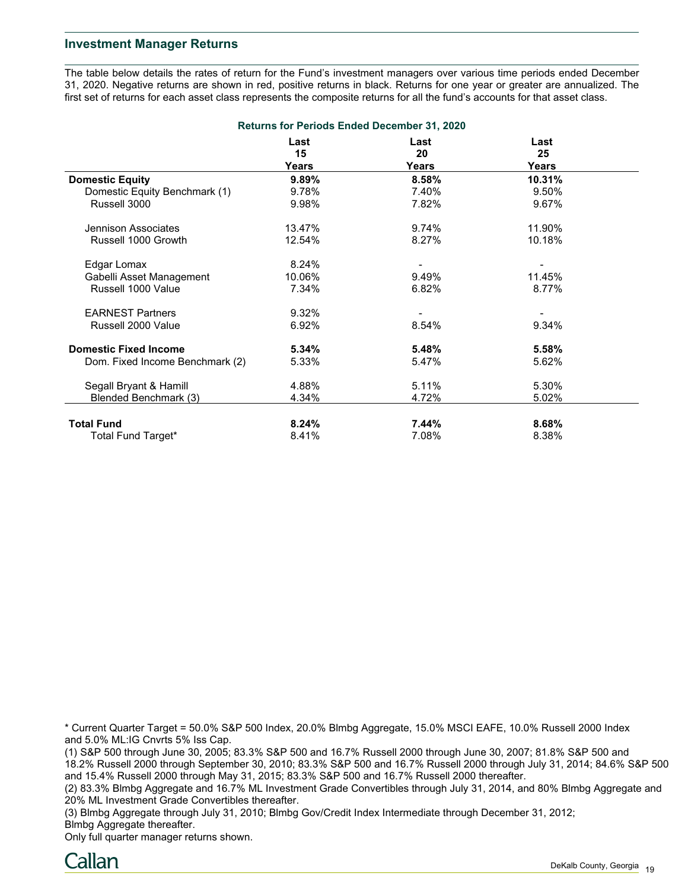### **Investment Manager Returns**

The table below details the rates of return for the Fund's investment managers over various time periods ended December 31, 2020. Negative returns are shown in red, positive returns in black. Returns for one year or greater are annualized. The first set of returns for each asset class represents the composite returns for all the fund's accounts for that asset class.

| <b>Returns for Periods Ended December 31, 2020</b> |            |            |            |  |  |
|----------------------------------------------------|------------|------------|------------|--|--|
|                                                    | Last<br>15 | Last<br>20 | Last<br>25 |  |  |
|                                                    | Years      | Years      | Years      |  |  |
| <b>Domestic Equity</b>                             | 9.89%      | 8.58%      | 10.31%     |  |  |
| Domestic Equity Benchmark (1)                      | 9.78%      | 7.40%      | 9.50%      |  |  |
| Russell 3000                                       | 9.98%      | 7.82%      | 9.67%      |  |  |
| Jennison Associates                                | 13.47%     | 9.74%      | 11.90%     |  |  |
| Russell 1000 Growth                                | 12.54%     | 8.27%      | 10.18%     |  |  |
| Edgar Lomax                                        | 8.24%      |            |            |  |  |
| Gabelli Asset Management                           | 10.06%     | 9.49%      | 11.45%     |  |  |
| Russell 1000 Value                                 | 7.34%      | 6.82%      | 8.77%      |  |  |
| <b>EARNEST Partners</b>                            | 9.32%      |            |            |  |  |
| Russell 2000 Value                                 | 6.92%      | 8.54%      | 9.34%      |  |  |
| <b>Domestic Fixed Income</b>                       | 5.34%      | 5.48%      | 5.58%      |  |  |
| Dom. Fixed Income Benchmark (2)                    | 5.33%      | 5.47%      | 5.62%      |  |  |
| Segall Bryant & Hamill                             | 4.88%      | 5.11%      | 5.30%      |  |  |
| Blended Benchmark (3)                              | 4.34%      | 4.72%      | 5.02%      |  |  |
| <b>Total Fund</b>                                  | 8.24%      | 7.44%      | 8.68%      |  |  |
| Total Fund Target*                                 | 8.41%      | 7.08%      | 8.38%      |  |  |

\* Current Quarter Target = 50.0% S&P 500 Index, 20.0% Blmbg Aggregate, 15.0% MSCI EAFE, 10.0% Russell 2000 Index and 5.0% ML:IG Cnvrts 5% Iss Cap.

(1) S&P 500 through June 30, 2005; 83.3% S&P 500 and 16.7% Russell 2000 through June 30, 2007; 81.8% S&P 500 and 18.2% Russell 2000 through September 30, 2010; 83.3% S&P 500 and 16.7% Russell 2000 through July 31, 2014; 84.6% S&P 500 and 15.4% Russell 2000 through May 31, 2015; 83.3% S&P 500 and 16.7% Russell 2000 thereafter.

(2) 83.3% Blmbg Aggregate and 16.7% ML Investment Grade Convertibles through July 31, 2014, and 80% Blmbg Aggregate and 20% ML Investment Grade Convertibles thereafter.

(3) Blmbg Aggregate through July 31, 2010; Blmbg Gov/Credit Index Intermediate through December 31, 2012; Blmbg Aggregate thereafter.

Only full quarter manager returns shown.